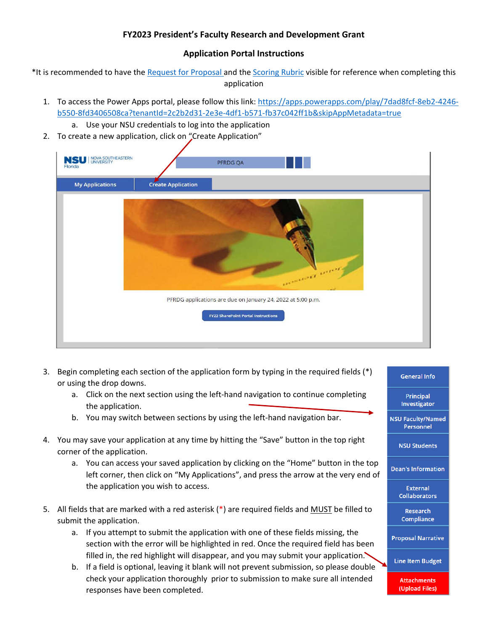## **FY2023 President's Faculty Research and Development Grant**

## **Application Portal Instructions**

\*It is recommended to have the [Request for Proposal a](https://www.nova.edu/academic-affairs/faculty-research-grant/FY23-RFP.pdf)nd th[e Scoring Rubric](https://www.nova.edu/academic-affairs/faculty-research-grant/PFRDG-Application-Scoring-Rubric_2020.pdf) visible for reference when completing this application

- 1. To access the Power Apps portal, please follow this link: [https://apps.powerapps.com/play/7dad8fcf-8eb2-4246](https://apps.powerapps.com/play/7dad8fcf-8eb2-4246-b550-8fd3406508ca?tenantId=2c2b2d31-2e3e-4df1-b571-fb37c042ff1b&skipAppMetadata=true) [b550-8fd3406508ca?tenantId=2c2b2d31-2e3e-4df1-b571-fb37c042ff1b&skipAppMetadata=true](https://apps.powerapps.com/play/7dad8fcf-8eb2-4246-b550-8fd3406508ca?tenantId=2c2b2d31-2e3e-4df1-b571-fb37c042ff1b&skipAppMetadata=true)
	- a. Use your NSU credentials to log into the application
- 2. To create a new application, click on "Create Application"

| <b>NSU NOVA SOUTHEASTERN</b><br>Florida | PFRDG QA                                                    |  |
|-----------------------------------------|-------------------------------------------------------------|--|
| <b>My Applications</b>                  | <b>Create Application</b>                                   |  |
|                                         | ormande over                                                |  |
|                                         | PFRDG applications are due on January 24, 2022 at 5:00 p.m. |  |
|                                         | <b>FY22 SharePoint Portal Instructions</b>                  |  |

- 3. Begin completing each section of the application form by typing in the required fields (\*) or using the drop downs.
	- a. Click on the next section using the left-hand navigation to continue completing the application.
	- b. You may switch between sections by using the left-hand navigation bar.
- 4. You may save your application at any time by hitting the "Save" button in the top right corner of the application.
	- a. You can access your saved application by clicking on the "Home" button in the top left corner, then click on "My Applications", and press the arrow at the very end of the application you wish to access.
- 5. All fields that are marked with a red asterisk (\*) are required fields and MUST be filled to submit the application.
	- a. If you attempt to submit the application with one of these fields missing, the section with the error will be highlighted in red. Once the required field has been filled in, the red highlight will disappear, and you may submit your application.
	- b. If a field is optional, leaving it blank will not prevent submission, so please double check your application thoroughly prior to submission to make sure all intended responses have been completed.

## **General Info**

**Principal** Investigator

**NSU Faculty/Named** Personnel

**NSU Students** 

**Dean's Information** 

**External Collaborators** 

Research Compliance

**Proposal Narrative** 

**Line Item Budget** 

**Attachments** (Upload Files)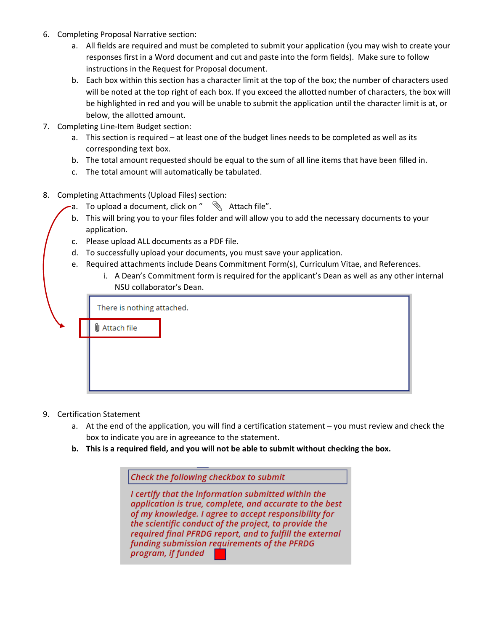- 6. Completing Proposal Narrative section:
	- a. All fields are required and must be completed to submit your application (you may wish to create your responses first in a Word document and cut and paste into the form fields). Make sure to follow instructions in the Request for Proposal document.
	- b. Each box within this section has a character limit at the top of the box; the number of characters used will be noted at the top right of each box. If you exceed the allotted number of characters, the box will be highlighted in red and you will be unable to submit the application until the character limit is at, or below, the allotted amount.
- 7. Completing Line-Item Budget section:
	- a. This section is required at least one of the budget lines needs to be completed as well as its corresponding text box.
	- b. The total amount requested should be equal to the sum of all line items that have been filled in.
	- c. The total amount will automatically be tabulated.
- 8. Completing Attachments (Upload Files) section:
	- a. To upload a document, click on "  $\mathbb R$  Attach file".
	- b. This will bring you to your files folder and will allow you to add the necessary documents to your application.
	- c. Please upload ALL documents as a PDF file.
	- d. To successfully upload your documents, you must save your application.
	- e. Required attachments include Deans Commitment Form(s), Curriculum Vitae, and References.
		- i. A Dean's Commitment form is required for the applicant's Dean as well as any other internal NSU collaborator's Dean.

| There is nothing attached.                                       |  |  |
|------------------------------------------------------------------|--|--|
| $\mathsf{\textcolor{blue}{\textsf{\textbackslash}}}$ Attach file |  |  |
|                                                                  |  |  |
|                                                                  |  |  |
|                                                                  |  |  |

- 9. Certification Statement
	- a. At the end of the application, you will find a certification statement you must review and check the box to indicate you are in agreeance to the statement.
	- **b. This is a required field, and you will not be able to submit without checking the box.**

Check the following checkbox to submit I certify that the information submitted within the application is true, complete, and accurate to the best of my knowledge. I agree to accept responsibility for the scientific conduct of the project, to provide the required final PFRDG report, and to fulfill the external funding submission requirements of the PFRDG program, if funded